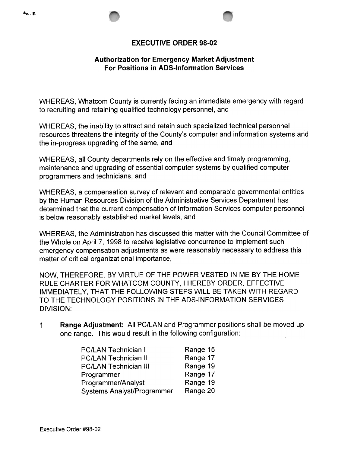## EXECUTIVE ORDER 98-02

## Authorization for Emergency Market Adjustment For Positions in ADS-Information Services

WHEREAS, Whatcom County is currently facing an immediate emergency with regard to recruiting and retaining qualified technology personnel, and

WHEREAS, the inability to attract and retain such specialized technical personnel resources threatens the integrity of the County's computer and information systems and the in-progress upgrading of the same, and

WHEREAS, all County departments rely on the effective and timely programming, maintenance and upgrading of essential computer systems by qualified computer programmers and technicians, and

WHEREAS, a compensation survey of relevant and comparable governmental entities by the Human Resources Division of the Administrative Services Department has determined that the current compensation of Information Services computer personnel is below reasonably established market levels, and

WHEREAS, the Administration has discussed this matter with the Council Committee of the Whole on April 7, 1998 to receive legislative concurrence to implement such emergency compensation adjustments as were reasonably necessary to address this matter of critical organizational importance,

NOW, THEREFORE, BY VIRTUE OF THE POWER VESTED IN ME BY THE HOME RULE CHARTER FOR WHATCOM COUNTY, I HEREBY ORDER, EFFECTIVE IMMEDIATELY, THAT THE FOLLOWING STEPS WILL BE TAKEN WITH REGARD TO THE TECHNOLOGY POSITIONS IN THE ADS-INFORMATION SERVICES DIVISION:

Range Adjustment: All PC/LAN and Programmer positions shall be moved up one range. This would result in the following configuration: 1

| <b>PC/LAN Technician I</b>        | Range 15 |
|-----------------------------------|----------|
| <b>PC/LAN Technician II</b>       | Range 17 |
| <b>PC/LAN Technician III</b>      | Range 19 |
| Programmer                        | Range 17 |
| Programmer/Analyst                | Range 19 |
| <b>Systems Analyst/Programmer</b> | Range 20 |